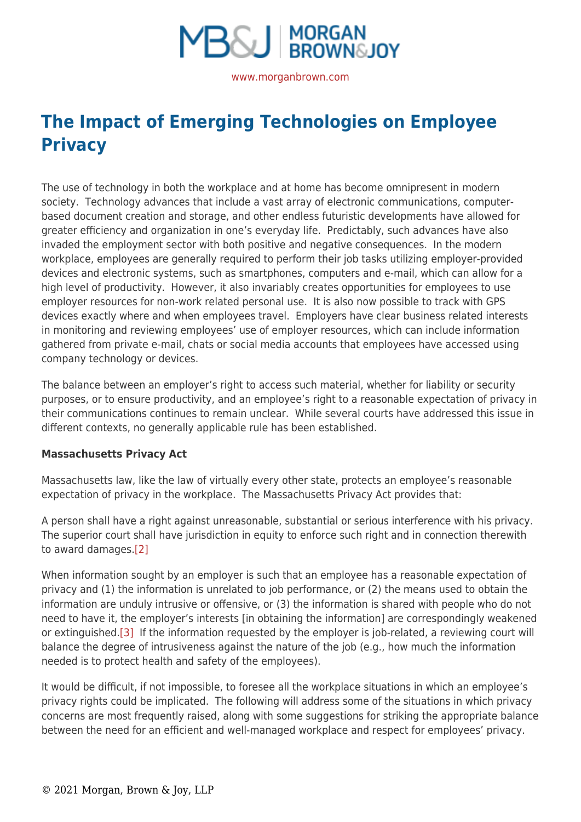

# **[The Impact of Emerging Technologies on Employee](https://www.morganbrown.com/legal-update/the-impact-of-emerging-technologies-on-employee-privacy/) [Privacy](https://www.morganbrown.com/legal-update/the-impact-of-emerging-technologies-on-employee-privacy/)**

The use of technology in both the workplace and at home has become omnipresent in modern society. Technology advances that include a vast array of electronic communications, computerbased document creation and storage, and other endless futuristic developments have allowed for greater efficiency and organization in one's everyday life. Predictably, such advances have also invaded the employment sector with both positive and negative consequences. In the modern workplace, employees are generally required to perform their job tasks utilizing employer-provided devices and electronic systems, such as smartphones, computers and e-mail, which can allow for a high level of productivity. However, it also invariably creates opportunities for employees to use employer resources for non-work related personal use. It is also now possible to track with GPS devices exactly where and when employees travel. Employers have clear business related interests in monitoring and reviewing employees' use of employer resources, which can include information gathered from private e-mail, chats or social media accounts that employees have accessed using company technology or devices.

The balance between an employer's right to access such material, whether for liability or security purposes, or to ensure productivity, and an employee's right to a reasonable expectation of privacy in their communications continues to remain unclear. While several courts have addressed this issue in different contexts, no generally applicable rule has been established.

## **Massachusetts Privacy Act**

Massachusetts law, like the law of virtually every other state, protects an employee's reasonable expectation of privacy in the workplace. The Massachusetts Privacy Act provides that:

A person shall have a right against unreasonable, substantial or serious interference with his privacy. The superior court shall have jurisdiction in equity to enforce such right and in connection therewith to award damages[.\[2\]](https://www.morganbrown.com/legal/legal_update.php?id=210#_edn2)

When information sought by an employer is such that an employee has a reasonable expectation of privacy and (1) the information is unrelated to job performance, or (2) the means used to obtain the information are unduly intrusive or offensive, or (3) the information is shared with people who do not need to have it, the employer's interests [in obtaining the information] are correspondingly weakened or extinguished.[\[3\]](https://www.morganbrown.com/legal/legal_update.php?id=210#_edn3) If the information requested by the employer is job-related, a reviewing court will balance the degree of intrusiveness against the nature of the job (e.g., how much the information needed is to protect health and safety of the employees).

It would be difficult, if not impossible, to foresee all the workplace situations in which an employee's privacy rights could be implicated. The following will address some of the situations in which privacy concerns are most frequently raised, along with some suggestions for striking the appropriate balance between the need for an efficient and well-managed workplace and respect for employees' privacy.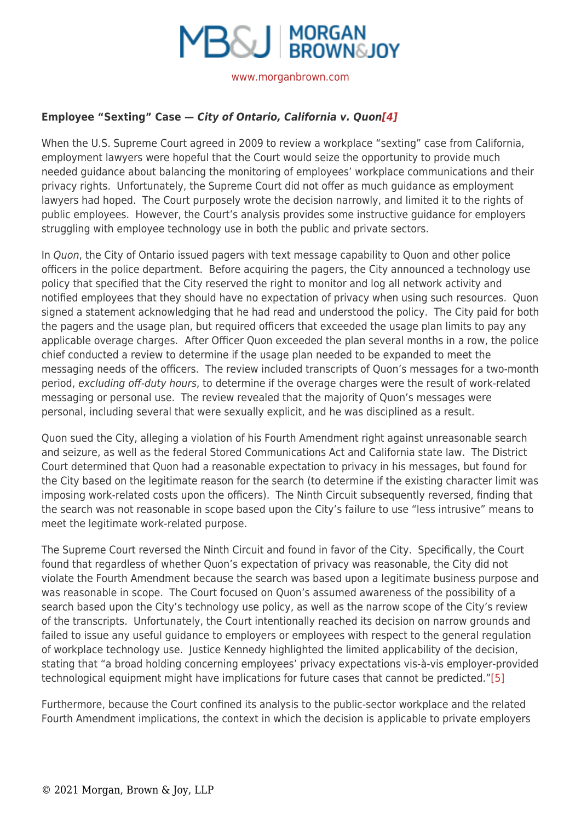

# **Employee "Sexting" Case —** *City of Ontario, California v. Quon[\[4\]](https://www.morganbrown.com/legal/legal_update.php?id=210#_edn4)*

When the U.S. Supreme Court agreed in 2009 to review a workplace "sexting" case from California, employment lawyers were hopeful that the Court would seize the opportunity to provide much needed guidance about balancing the monitoring of employees' workplace communications and their privacy rights. Unfortunately, the Supreme Court did not offer as much guidance as employment lawyers had hoped. The Court purposely wrote the decision narrowly, and limited it to the rights of public employees. However, the Court's analysis provides some instructive guidance for employers struggling with employee technology use in both the public and private sectors.

In Quon, the City of Ontario issued pagers with text message capability to Quon and other police officers in the police department. Before acquiring the pagers, the City announced a technology use policy that specified that the City reserved the right to monitor and log all network activity and notified employees that they should have no expectation of privacy when using such resources. Quon signed a statement acknowledging that he had read and understood the policy. The City paid for both the pagers and the usage plan, but required officers that exceeded the usage plan limits to pay any applicable overage charges.After Officer Quon exceeded the plan several months in a row, the police chief conducted a review to determine if the usage plan needed to be expanded to meet the messaging needs of the officers. The review included transcripts of Quon's messages for a two-month period, excluding off-duty hours, to determine if the overage charges were the result of work-related messaging or personal use. The review revealed that the majority of Quon's messages were personal, including several that were sexually explicit, and he was disciplined as a result.

Quon sued the City, alleging a violation of his Fourth Amendment right against unreasonable search and seizure, as well as the federal Stored Communications Act and California state law. The District Court determined that Quon had a reasonable expectation to privacy in his messages, but found for the City based on the legitimate reason for the search (to determine if the existing character limit was imposing work-related costs upon the officers). The Ninth Circuit subsequently reversed, finding that the search was not reasonable in scope based upon the City's failure to use "less intrusive" means to meet the legitimate work-related purpose.

The Supreme Court reversed the Ninth Circuit and found in favor of the City. Specifically, the Court found that regardless of whether Quon's expectation of privacy was reasonable, the City did not violate the Fourth Amendment because the search was based upon a legitimate business purpose and was reasonable in scope. The Court focused on Quon's assumed awareness of the possibility of a search based upon the City's technology use policy, as well as the narrow scope of the City's review of the transcripts. Unfortunately, the Court intentionally reached its decision on narrow grounds and failed to issue any useful guidance to employers or employees with respect to the general regulation of workplace technology use. Justice Kennedy highlighted the limited applicability of the decision, stating that "a broad holding concerning employees' privacy expectations vis-à-vis employer-provided technological equipment might have implications for future cases that cannot be predicted.["\[5\]](https://www.morganbrown.com/legal/legal_update.php?id=210#_edn5)

Furthermore, because the Court confined its analysis to the public-sector workplace and the related Fourth Amendment implications, the context in which the decision is applicable to private employers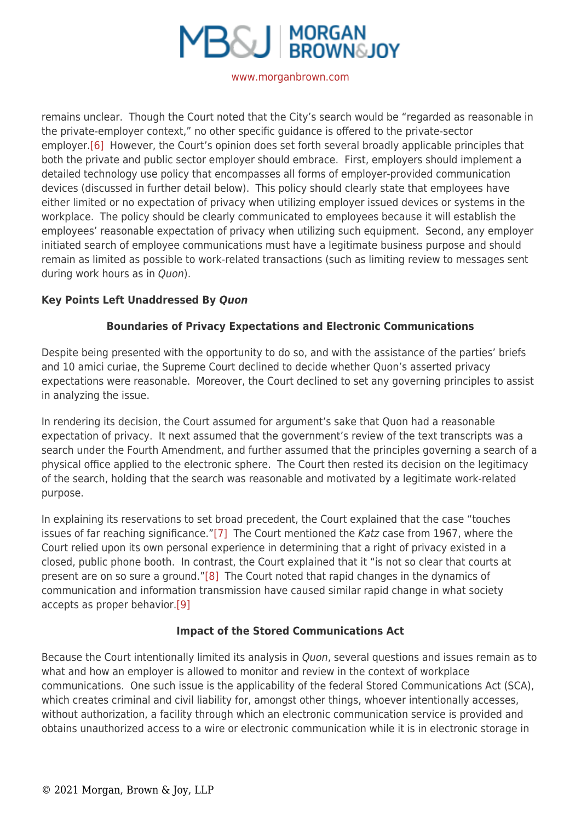

remains unclear. Though the Court noted that the City's search would be "regarded as reasonable in the private-employer context," no other specific guidance is offered to the private-sector employer[.\[6\]](https://www.morganbrown.com/legal/legal_update.php?id=210#_edn6) However, the Court's opinion does set forth several broadly applicable principles that both the private and public sector employer should embrace. First, employers should implement a detailed technology use policy that encompasses all forms of employer-provided communication devices (discussed in further detail below). This policy should clearly state that employees have either limited or no expectation of privacy when utilizing employer issued devices or systems in the workplace. The policy should be clearly communicated to employees because it will establish the employees' reasonable expectation of privacy when utilizing such equipment. Second, any employer initiated search of employee communications must have a legitimate business purpose and should remain as limited as possible to work-related transactions (such as limiting review to messages sent during work hours as in Quon).

# **Key Points Left Unaddressed By** *Quon*

# **Boundaries of Privacy Expectations and Electronic Communications**

Despite being presented with the opportunity to do so, and with the assistance of the parties' briefs and 10 amici curiae, the Supreme Court declined to decide whether Quon's asserted privacy expectations were reasonable. Moreover, the Court declined to set any governing principles to assist in analyzing the issue.

In rendering its decision, the Court assumed for argument's sake that Quon had a reasonable expectation of privacy. It next assumed that the government's review of the text transcripts was a search under the Fourth Amendment, and further assumed that the principles governing a search of a physical office applied to the electronic sphere. The Court then rested its decision on the legitimacy of the search, holding that the search was reasonable and motivated by a legitimate work-related purpose.

In explaining its reservations to set broad precedent, the Court explained that the case "touches issues of far reaching significance.["\[7\]](https://www.morganbrown.com/legal/legal_update.php?id=210#_edn7) The Court mentioned the Katz case from 1967, where the Court relied upon its own personal experience in determining that a right of privacy existed in a closed, public phone booth. In contrast, the Court explained that it "is not so clear that courts at present are on so sure a ground.["\[8\]](https://www.morganbrown.com/legal/legal_update.php?id=210#_edn8) The Court noted that rapid changes in the dynamics of communication and information transmission have caused similar rapid change in what society accepts as proper behavior.[\[9\]](https://www.morganbrown.com/legal/legal_update.php?id=210#_edn9)

## **Impact of the Stored Communications Act**

Because the Court intentionally limited its analysis in Quon, several questions and issues remain as to what and how an employer is allowed to monitor and review in the context of workplace communications. One such issue is the applicability of the federal Stored Communications Act (SCA), which creates criminal and civil liability for, amongst other things, whoever intentionally accesses, without authorization, a facility through which an electronic communication service is provided and obtains unauthorized access to a wire or electronic communication while it is in electronic storage in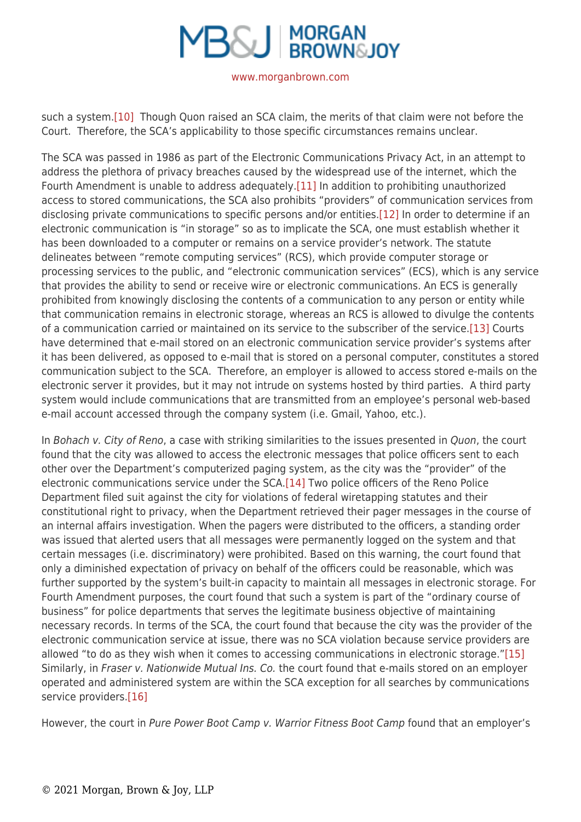

such a system.[\[10\]](https://www.morganbrown.com/legal/legal_update.php?id=210#_edn10) Though Quon raised an SCA claim, the merits of that claim were not before the Court. Therefore, the SCA's applicability to those specific circumstances remains unclear.

The SCA was passed in 1986 as part of the Electronic Communications Privacy Act, in an attempt to address the plethora of privacy breaches caused by the widespread use of the internet, which the Fourth Amendment is unable to address adequately[.\[11\]](https://www.morganbrown.com/legal/legal_update.php?id=210#_edn11) In addition to prohibiting unauthorized access to stored communications, the SCA also prohibits "providers" of communication services from disclosing private communications to specific persons and/or entities.[\[12\]](https://www.morganbrown.com/legal/legal_update.php?id=210#_edn12) In order to determine if an electronic communication is "in storage" so as to implicate the SCA, one must establish whether it has been downloaded to a computer or remains on a service provider's network. The statute delineates between "remote computing services" (RCS), which provide computer storage or processing services to the public, and "electronic communication services" (ECS), which is any service that provides the ability to send or receive wire or electronic communications. An ECS is generally prohibited from knowingly disclosing the contents of a communication to any person or entity while that communication remains in electronic storage, whereas an RCS is allowed to divulge the contents of a communication carried or maintained on its service to the subscriber of the service[.\[13\]](https://www.morganbrown.com/legal/legal_update.php?id=210#_edn13) Courts have determined that e-mail stored on an electronic communication service provider's systems after it has been delivered, as opposed to e-mail that is stored on a personal computer, constitutes a stored communication subject to the SCA. Therefore, an employer is allowed to access stored e-mails on the electronic server it provides, but it may not intrude on systems hosted by third parties. A third party system would include communications that are transmitted from an employee's personal web-based e-mail account accessed through the company system (i.e. Gmail, Yahoo, etc.).

In Bohach v. City of Reno, a case with striking similarities to the issues presented in Quon, the court found that the city was allowed to access the electronic messages that police officers sent to each other over the Department's computerized paging system, as the city was the "provider" of the electronic communications service under the SCA.[\[14\]](https://www.morganbrown.com/legal/legal_update.php?id=210#_edn14) Two police officers of the Reno Police Department filed suit against the city for violations of federal wiretapping statutes and their constitutional right to privacy, when the Department retrieved their pager messages in the course of an internal affairs investigation. When the pagers were distributed to the officers, a standing order was issued that alerted users that all messages were permanently logged on the system and that certain messages (i.e. discriminatory) were prohibited. Based on this warning, the court found that only a diminished expectation of privacy on behalf of the officers could be reasonable, which was further supported by the system's built-in capacity to maintain all messages in electronic storage. For Fourth Amendment purposes, the court found that such a system is part of the "ordinary course of business" for police departments that serves the legitimate business objective of maintaining necessary records. In terms of the SCA, the court found that because the city was the provider of the electronic communication service at issue, there was no SCA violation because service providers are allowed "to do as they wish when it comes to accessing communications in electronic storage.["\[15\]](https://www.morganbrown.com/legal/legal_update.php?id=210#_edn15) Similarly, in Fraser v. Nationwide Mutual Ins. Co. the court found that e-mails stored on an employer operated and administered system are within the SCA exception for all searches by communications service providers.[\[16\]](https://www.morganbrown.com/legal/legal_update.php?id=210#_edn16)

However, the court in Pure Power Boot Camp v. Warrior Fitness Boot Camp found that an employer's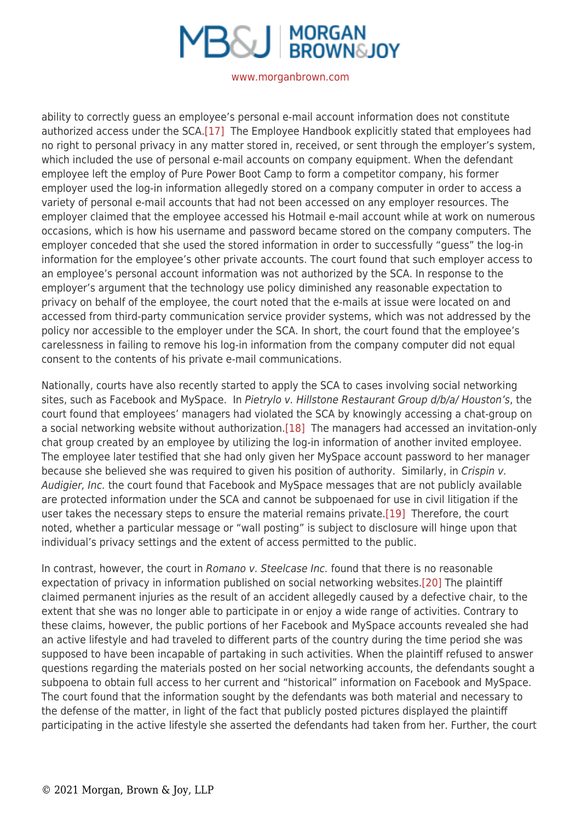# **MBSJ MORGAN**

#### [www.morganbrown.com](https://www.morganbrown.com/home/)

ability to correctly guess an employee's personal e-mail account information does not constitute authorized access under the SCA.[\[17\]](https://www.morganbrown.com/legal/legal_update.php?id=210#_edn17) The Employee Handbook explicitly stated that employees had no right to personal privacy in any matter stored in, received, or sent through the employer's system, which included the use of personal e-mail accounts on company equipment. When the defendant employee left the employ of Pure Power Boot Camp to form a competitor company, his former employer used the log-in information allegedly stored on a company computer in order to access a variety of personal e-mail accounts that had not been accessed on any employer resources. The employer claimed that the employee accessed his Hotmail e-mail account while at work on numerous occasions, which is how his username and password became stored on the company computers. The employer conceded that she used the stored information in order to successfully "guess" the log-in information for the employee's other private accounts. The court found that such employer access to an employee's personal account information was not authorized by the SCA. In response to the employer's argument that the technology use policy diminished any reasonable expectation to privacy on behalf of the employee, the court noted that the e-mails at issue were located on and accessed from third-party communication service provider systems, which was not addressed by the policy nor accessible to the employer under the SCA. In short, the court found that the employee's carelessness in failing to remove his log-in information from the company computer did not equal consent to the contents of his private e-mail communications.

Nationally, courts have also recently started to apply the SCA to cases involving social networking sites, such as Facebook and MySpace. In Pietrylo v. Hillstone Restaurant Group d/b/a/ Houston's, the court found that employees' managers had violated the SCA by knowingly accessing a chat-group on a social networking website without authorization[.\[18\]](https://www.morganbrown.com/legal/legal_update.php?id=210#_edn18) The managers had accessed an invitation-only chat group created by an employee by utilizing the log-in information of another invited employee. The employee later testified that she had only given her MySpace account password to her manager because she believed she was required to given his position of authority. Similarly, in Crispin v. Audigier, Inc. the court found that Facebook and MySpace messages that are not publicly available are protected information under the SCA and cannot be subpoenaed for use in civil litigation if the user takes the necessary steps to ensure the material remains private[.\[19\]](https://www.morganbrown.com/legal/legal_update.php?id=210#_edn19) Therefore, the court noted, whether a particular message or "wall posting" is subject to disclosure will hinge upon that individual's privacy settings and the extent of access permitted to the public.

In contrast, however, the court in Romano v. Steelcase Inc. found that there is no reasonable expectation of privacy in information published on social networking websites[.\[20\]](https://www.morganbrown.com/legal/legal_update.php?id=210#_edn20) The plaintiff claimed permanent injuries as the result of an accident allegedly caused by a defective chair, to the extent that she was no longer able to participate in or enjoy a wide range of activities. Contrary to these claims, however, the public portions of her Facebook and MySpace accounts revealed she had an active lifestyle and had traveled to different parts of the country during the time period she was supposed to have been incapable of partaking in such activities. When the plaintiff refused to answer questions regarding the materials posted on her social networking accounts, the defendants sought a subpoena to obtain full access to her current and "historical" information on Facebook and MySpace. The court found that the information sought by the defendants was both material and necessary to the defense of the matter, in light of the fact that publicly posted pictures displayed the plaintiff participating in the active lifestyle she asserted the defendants had taken from her. Further, the court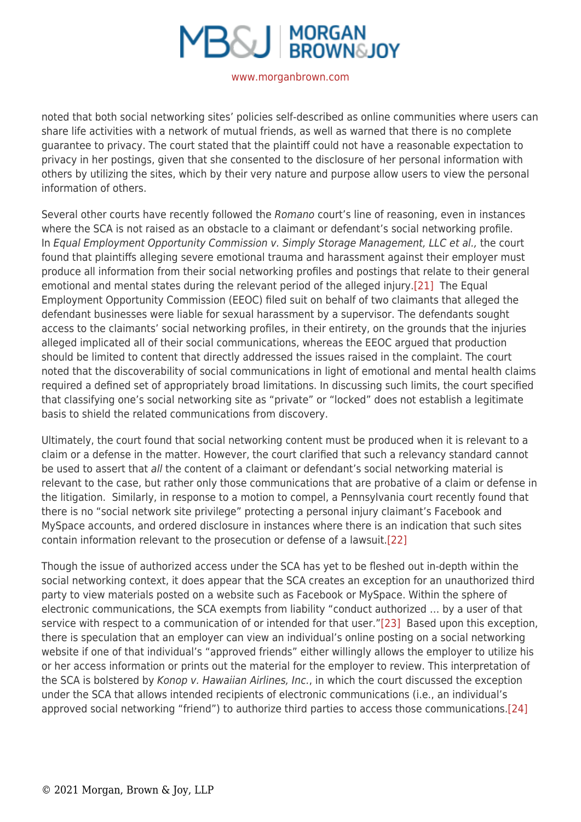# **B&J MORGAN**

#### [www.morganbrown.com](https://www.morganbrown.com/home/)

noted that both social networking sites' policies self-described as online communities where users can share life activities with a network of mutual friends, as well as warned that there is no complete guarantee to privacy. The court stated that the plaintiff could not have a reasonable expectation to privacy in her postings, given that she consented to the disclosure of her personal information with others by utilizing the sites, which by their very nature and purpose allow users to view the personal information of others.

Several other courts have recently followed the Romano court's line of reasoning, even in instances where the SCA is not raised as an obstacle to a claimant or defendant's social networking profile. In Equal Employment Opportunity Commission v. Simply Storage Management, LLC et al., the court found that plaintiffs alleging severe emotional trauma and harassment against their employer must produce all information from their social networking profiles and postings that relate to their general emotional and mental states during the relevant period of the alleged injury[.\[21\]](https://www.morganbrown.com/legal/legal_update.php?id=210#_edn21) The Equal Employment Opportunity Commission (EEOC) filed suit on behalf of two claimants that alleged the defendant businesses were liable for sexual harassment by a supervisor. The defendants sought access to the claimants' social networking profiles, in their entirety, on the grounds that the injuries alleged implicated all of their social communications, whereas the EEOC argued that production should be limited to content that directly addressed the issues raised in the complaint. The court noted that the discoverability of social communications in light of emotional and mental health claims required a defined set of appropriately broad limitations. In discussing such limits, the court specified that classifying one's social networking site as "private" or "locked" does not establish a legitimate basis to shield the related communications from discovery.

Ultimately, the court found that social networking content must be produced when it is relevant to a claim or a defense in the matter. However, the court clarified that such a relevancy standard cannot be used to assert that all the content of a claimant or defendant's social networking material is relevant to the case, but rather only those communications that are probative of a claim or defense in the litigation. Similarly, in response to a motion to compel, a Pennsylvania court recently found that there is no "social network site privilege" protecting a personal injury claimant's Facebook and MySpace accounts, and ordered disclosure in instances where there is an indication that such sites contain information relevant to the prosecution or defense of a lawsuit.[\[22\]](https://www.morganbrown.com/legal/legal_update.php?id=210#_edn22)

Though the issue of authorized access under the SCA has yet to be fleshed out in-depth within the social networking context, it does appear that the SCA creates an exception for an unauthorized third party to view materials posted on a website such as Facebook or MySpace. Within the sphere of electronic communications, the SCA exempts from liability "conduct authorized … by a user of that service with respect to a communication of or intended for that user.["\[23\]](https://www.morganbrown.com/legal/legal_update.php?id=210#_edn23) Based upon this exception, there is speculation that an employer can view an individual's online posting on a social networking website if one of that individual's "approved friends" either willingly allows the employer to utilize his or her access information or prints out the material for the employer to review. This interpretation of the SCA is bolstered by Konop v. Hawaiian Airlines, Inc., in which the court discussed the exception under the SCA that allows intended recipients of electronic communications (i.e., an individual's approved social networking "friend") to authorize third parties to access those communications.[\[24\]](https://www.morganbrown.com/legal/legal_update.php?id=210#_edn24)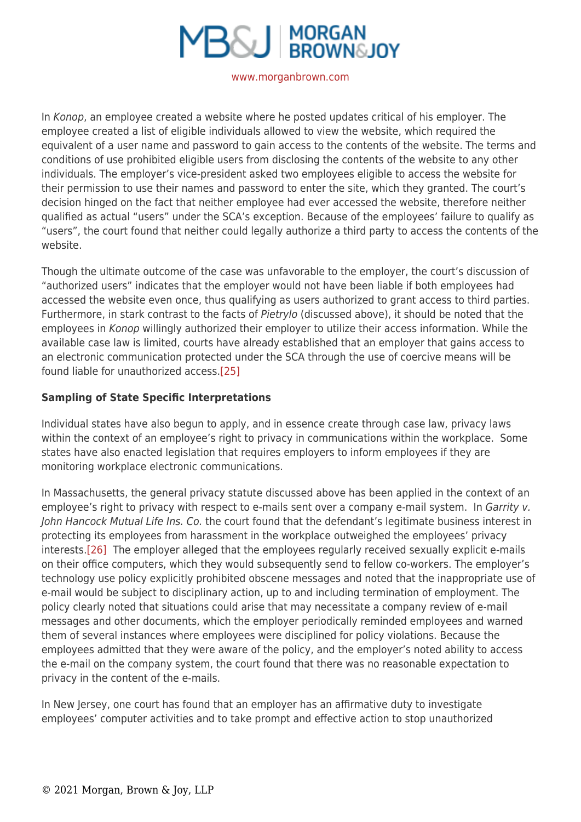

In Konop, an employee created a website where he posted updates critical of his employer. The employee created a list of eligible individuals allowed to view the website, which required the equivalent of a user name and password to gain access to the contents of the website. The terms and conditions of use prohibited eligible users from disclosing the contents of the website to any other individuals. The employer's vice-president asked two employees eligible to access the website for their permission to use their names and password to enter the site, which they granted. The court's decision hinged on the fact that neither employee had ever accessed the website, therefore neither qualified as actual "users" under the SCA's exception. Because of the employees' failure to qualify as "users", the court found that neither could legally authorize a third party to access the contents of the website.

Though the ultimate outcome of the case was unfavorable to the employer, the court's discussion of "authorized users" indicates that the employer would not have been liable if both employees had accessed the website even once, thus qualifying as users authorized to grant access to third parties. Furthermore, in stark contrast to the facts of Pietrylo (discussed above), it should be noted that the employees in Konop willingly authorized their employer to utilize their access information. While the available case law is limited, courts have already established that an employer that gains access to an electronic communication protected under the SCA through the use of coercive means will be found liable for unauthorized access.[\[25\]](https://www.morganbrown.com/legal/legal_update.php?id=210#_edn25)

# **Sampling of State Specific Interpretations**

Individual states have also begun to apply, and in essence create through case law, privacy laws within the context of an employee's right to privacy in communications within the workplace. Some states have also enacted legislation that requires employers to inform employees if they are monitoring workplace electronic communications.

In Massachusetts, the general privacy statute discussed above has been applied in the context of an employee's right to privacy with respect to e-mails sent over a company e-mail system. In Garrity v. John Hancock Mutual Life Ins. Co. the court found that the defendant's legitimate business interest in protecting its employees from harassment in the workplace outweighed the employees' privacy interests[.\[26\]](https://www.morganbrown.com/legal/legal_update.php?id=210#_edn26) The employer alleged that the employees regularly received sexually explicit e-mails on their office computers, which they would subsequently send to fellow co-workers. The employer's technology use policy explicitly prohibited obscene messages and noted that the inappropriate use of e-mail would be subject to disciplinary action, up to and including termination of employment. The policy clearly noted that situations could arise that may necessitate a company review of e-mail messages and other documents, which the employer periodically reminded employees and warned them of several instances where employees were disciplined for policy violations. Because the employees admitted that they were aware of the policy, and the employer's noted ability to access the e-mail on the company system, the court found that there was no reasonable expectation to privacy in the content of the e-mails.

In New Jersey, one court has found that an employer has an affirmative duty to investigate employees' computer activities and to take prompt and effective action to stop unauthorized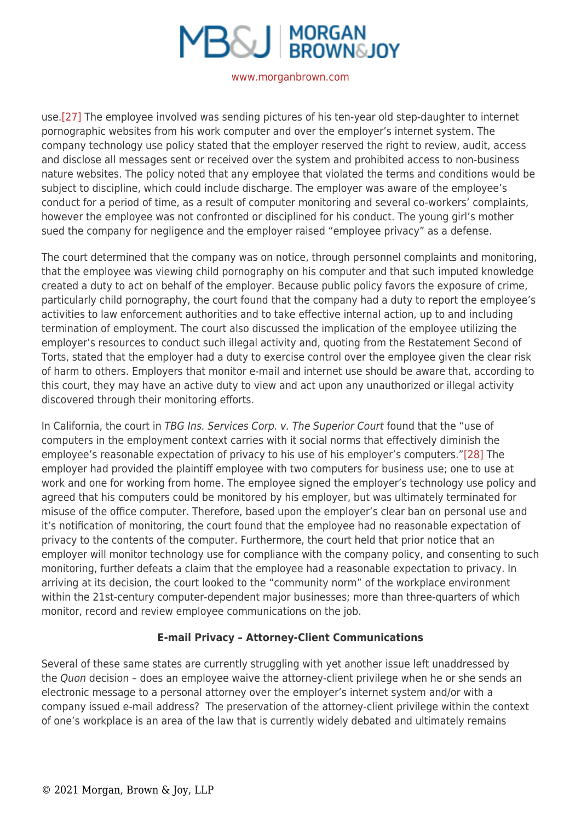

use[.\[27\]](https://www.morganbrown.com/legal/legal_update.php?id=210#_edn27) The employee involved was sending pictures of his ten-year old step-daughter to internet pornographic websites from his work computer and over the employer's internet system. The company technology use policy stated that the employer reserved the right to review, audit, access and disclose all messages sent or received over the system and prohibited access to non-business nature websites. The policy noted that any employee that violated the terms and conditions would be subject to discipline, which could include discharge. The employer was aware of the employee's conduct for a period of time, as a result of computer monitoring and several co-workers' complaints, however the employee was not confronted or disciplined for his conduct. The young girl's mother sued the company for negligence and the employer raised "employee privacy" as a defense.

The court determined that the company was on notice, through personnel complaints and monitoring, that the employee was viewing child pornography on his computer and that such imputed knowledge created a duty to act on behalf of the employer. Because public policy favors the exposure of crime, particularly child pornography, the court found that the company had a duty to report the employee's activities to law enforcement authorities and to take effective internal action, up to and including termination of employment. The court also discussed the implication of the employee utilizing the employer's resources to conduct such illegal activity and, quoting from the Restatement Second of Torts, stated that the employer had a duty to exercise control over the employee given the clear risk of harm to others. Employers that monitor e-mail and internet use should be aware that, according to this court, they may have an active duty to view and act upon any unauthorized or illegal activity discovered through their monitoring efforts.

In California, the court in TBG Ins. Services Corp. v. The Superior Court found that the "use of computers in the employment context carries with it social norms that effectively diminish the employee's reasonable expectation of privacy to his use of his employer's computers.["\[28\]](https://www.morganbrown.com/legal/legal_update.php?id=210#_edn28) The employer had provided the plaintiff employee with two computers for business use; one to use at work and one for working from home. The employee signed the employer's technology use policy and agreed that his computers could be monitored by his employer, but was ultimately terminated for misuse of the office computer. Therefore, based upon the employer's clear ban on personal use and it's notification of monitoring, the court found that the employee had no reasonable expectation of privacy to the contents of the computer. Furthermore, the court held that prior notice that an employer will monitor technology use for compliance with the company policy, and consenting to such monitoring, further defeats a claim that the employee had a reasonable expectation to privacy. In arriving at its decision, the court looked to the "community norm" of the workplace environment within the 21st-century computer-dependent major businesses; more than three-quarters of which monitor, record and review employee communications on the job.

## **E-mail Privacy – Attorney-Client Communications**

Several of these same states are currently struggling with yet another issue left unaddressed by the Quon decision – does an employee waive the attorney-client privilege when he or she sends an electronic message to a personal attorney over the employer's internet system and/or with a company issued e-mail address? The preservation of the attorney-client privilege within the context of one's workplace is an area of the law that is currently widely debated and ultimately remains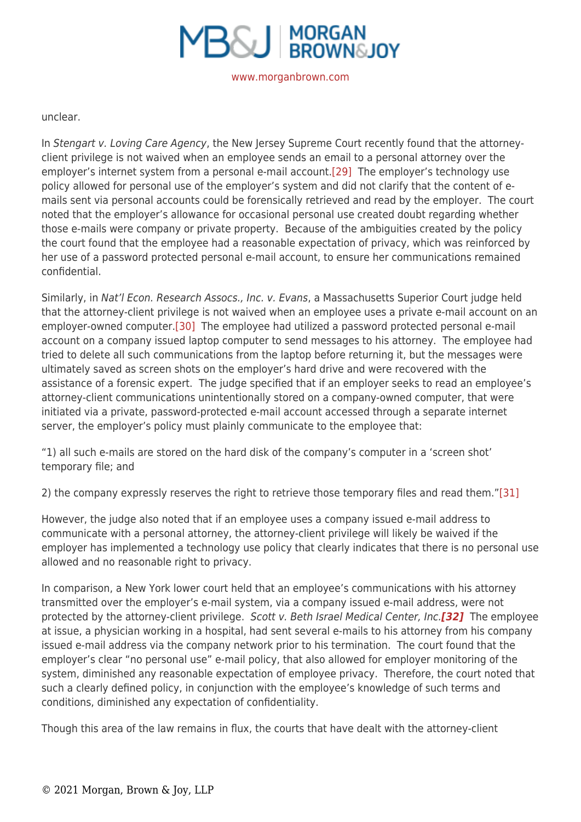

#### unclear.

In Stengart v. Loving Care Agency, the New Jersey Supreme Court recently found that the attorneyclient privilege is not waived when an employee sends an email to a personal attorney over the employer's internet system from a personal e-mail account[.\[29\]](https://www.morganbrown.com/legal/legal_update.php?id=210#_edn29) The employer's technology use policy allowed for personal use of the employer's system and did not clarify that the content of emails sent via personal accounts could be forensically retrieved and read by the employer. The court noted that the employer's allowance for occasional personal use created doubt regarding whether those e-mails were company or private property. Because of the ambiguities created by the policy the court found that the employee had a reasonable expectation of privacy, which was reinforced by her use of a password protected personal e-mail account, to ensure her communications remained confidential.

Similarly, in Nat'l Econ. Research Assocs., Inc. v. Evans, a Massachusetts Superior Court judge held that the attorney-client privilege is not waived when an employee uses a private e-mail account on an employer-owned computer.[\[30\]](https://www.morganbrown.com/legal/legal_update.php?id=210#_edn30) The employee had utilized a password protected personal e-mail account on a company issued laptop computer to send messages to his attorney. The employee had tried to delete all such communications from the laptop before returning it, but the messages were ultimately saved as screen shots on the employer's hard drive and were recovered with the assistance of a forensic expert. The judge specified that if an employer seeks to read an employee's attorney-client communications unintentionally stored on a company-owned computer, that were initiated via a private, password-protected e-mail account accessed through a separate internet server, the employer's policy must plainly communicate to the employee that:

"1) all such e-mails are stored on the hard disk of the company's computer in a 'screen shot' temporary file; and

2) the company expressly reserves the right to retrieve those temporary files and read them."[\[31\]](https://www.morganbrown.com/legal/legal_update.php?id=210#_edn31)

However, the judge also noted that if an employee uses a company issued e-mail address to communicate with a personal attorney, the attorney-client privilege will likely be waived if the employer has implemented a technology use policy that clearly indicates that there is no personal use allowed and no reasonable right to privacy.

In comparison, a New York lower court held that an employee's communications with his attorney transmitted over the employer's e-mail system, via a company issued e-mail address, were not protected by the attorney-client privilege. Scott v. Beth Israel Medical Center, Inc.*[\[32\]](https://www.morganbrown.com/legal/legal_update.php?id=210#_edn32)* The employee at issue, a physician working in a hospital, had sent several e-mails to his attorney from his company issued e-mail address via the company network prior to his termination. The court found that the employer's clear "no personal use" e-mail policy, that also allowed for employer monitoring of the system, diminished any reasonable expectation of employee privacy. Therefore, the court noted that such a clearly defined policy, in conjunction with the employee's knowledge of such terms and conditions, diminished any expectation of confidentiality.

Though this area of the law remains in flux, the courts that have dealt with the attorney-client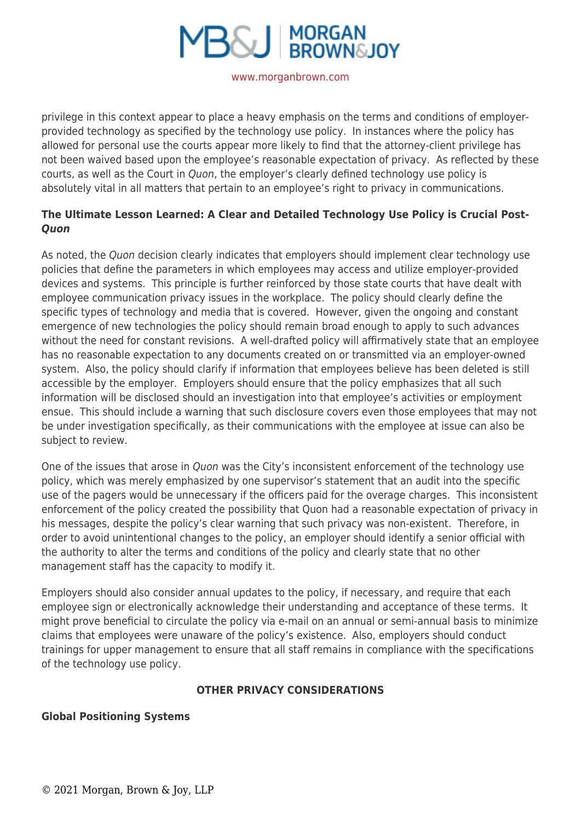

privilege in this context appear to place a heavy emphasis on the terms and conditions of employerprovided technology as specified by the technology use policy. In instances where the policy has allowed for personal use the courts appear more likely to find that the attorney-client privilege has not been waived based upon the employee's reasonable expectation of privacy. As reflected by these courts, as well as the Court in Quon, the employer's clearly defined technology use policy is absolutely vital in all matters that pertain to an employee's right to privacy in communications.

# **The Ultimate Lesson Learned: A Clear and Detailed Technology Use Policy is Crucial Post-***Quon*

As noted, the Quon decision clearly indicates that employers should implement clear technology use policies that define the parameters in which employees may access and utilize employer-provided devices and systems. This principle is further reinforced by those state courts that have dealt with employee communication privacy issues in the workplace. The policy should clearly define the specific types of technology and media that is covered. However, given the ongoing and constant emergence of new technologies the policy should remain broad enough to apply to such advances without the need for constant revisions. A well-drafted policy will affirmatively state that an employee has no reasonable expectation to any documents created on or transmitted via an employer-owned system. Also, the policy should clarify if information that employees believe has been deleted is still accessible by the employer. Employers should ensure that the policy emphasizes that all such information will be disclosed should an investigation into that employee's activities or employment ensue. This should include a warning that such disclosure covers even those employees that may not be under investigation specifically, as their communications with the employee at issue can also be subject to review.

One of the issues that arose in *Quon* was the City's inconsistent enforcement of the technology use policy, which was merely emphasized by one supervisor's statement that an audit into the specific use of the pagers would be unnecessary if the officers paid for the overage charges. This inconsistent enforcement of the policy created the possibility that Quon had a reasonable expectation of privacy in his messages, despite the policy's clear warning that such privacy was non-existent. Therefore, in order to avoid unintentional changes to the policy, an employer should identify a senior official with the authority to alter the terms and conditions of the policy and clearly state that no other management staff has the capacity to modify it.

Employers should also consider annual updates to the policy, if necessary, and require that each employee sign or electronically acknowledge their understanding and acceptance of these terms. It might prove beneficial to circulate the policy via e-mail on an annual or semi-annual basis to minimize claims that employees were unaware of the policy's existence. Also, employers should conduct trainings for upper management to ensure that all staff remains in compliance with the specifications of the technology use policy.

## **OTHER PRIVACY CONSIDERATIONS**

## **Global Positioning Systems**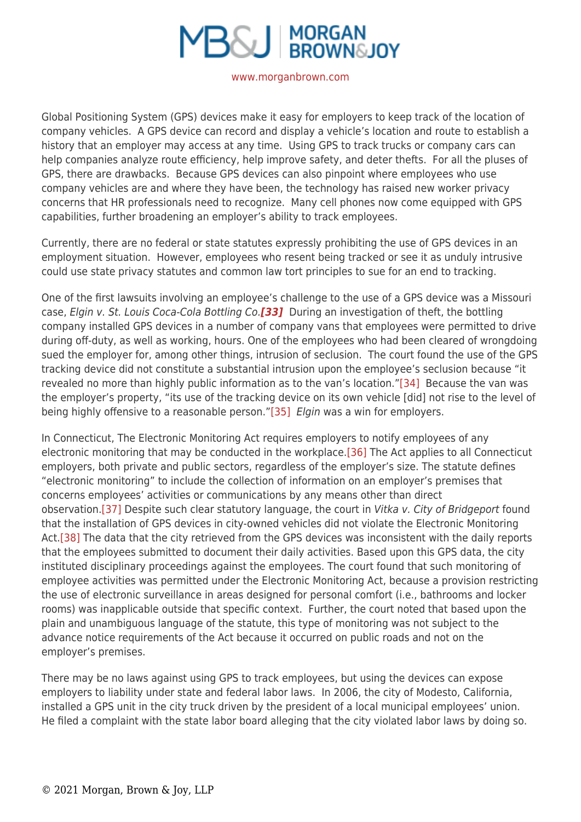

Global Positioning System (GPS) devices make it easy for employers to keep track of the location of company vehicles. A GPS device can record and display a vehicle's location and route to establish a history that an employer may access at any time. Using GPS to track trucks or company cars can help companies analyze route efficiency, help improve safety, and deter thefts. For all the pluses of GPS, there are drawbacks. Because GPS devices can also pinpoint where employees who use company vehicles are and where they have been, the technology has raised new worker privacy concerns that HR professionals need to recognize. Many cell phones now come equipped with GPS capabilities, further broadening an employer's ability to track employees.

Currently, there are no federal or state statutes expressly prohibiting the use of GPS devices in an employment situation. However, employees who resent being tracked or see it as unduly intrusive could use state privacy statutes and common law tort principles to sue for an end to tracking.

One of the first lawsuits involving an employee's challenge to the use of a GPS device was a Missouri case, Elgin v. St. Louis Coca-Cola Bottling Co.*[\[33\]](https://www.morganbrown.com/legal/legal_update.php?id=210#_edn33)* During an investigation of theft, the bottling company installed GPS devices in a number of company vans that employees were permitted to drive during off-duty, as well as working, hours. One of the employees who had been cleared of wrongdoing sued the employer for, among other things, intrusion of seclusion. The court found the use of the GPS tracking device did not constitute a substantial intrusion upon the employee's seclusion because "it revealed no more than highly public information as to the van's location."[\[34\]](https://www.morganbrown.com/legal/legal_update.php?id=210#_edn34) Because the van was the employer's property, "its use of the tracking device on its own vehicle [did] not rise to the level of being highly offensive to a reasonable person.["\[35\]](https://www.morganbrown.com/legal/legal_update.php?id=210#_edn35) Elgin was a win for employers.

In Connecticut, The Electronic Monitoring Act requires employers to notify employees of any electronic monitoring that may be conducted in the workplace.[\[36\]](https://www.morganbrown.com/legal/legal_update.php?id=210#_edn36) The Act applies to all Connecticut employers, both private and public sectors, regardless of the employer's size. The statute defines "electronic monitoring" to include the collection of information on an employer's premises that concerns employees' activities or communications by any means other than direct observation[.\[37\]](https://www.morganbrown.com/legal/legal_update.php?id=210#_edn37) Despite such clear statutory language, the court in Vitka v. City of Bridgeport found that the installation of GPS devices in city-owned vehicles did not violate the Electronic Monitoring Act.[\[38\]](https://www.morganbrown.com/legal/legal_update.php?id=210#_edn38) The data that the city retrieved from the GPS devices was inconsistent with the daily reports that the employees submitted to document their daily activities. Based upon this GPS data, the city instituted disciplinary proceedings against the employees. The court found that such monitoring of employee activities was permitted under the Electronic Monitoring Act, because a provision restricting the use of electronic surveillance in areas designed for personal comfort (i.e., bathrooms and locker rooms) was inapplicable outside that specific context. Further, the court noted that based upon the plain and unambiguous language of the statute, this type of monitoring was not subject to the advance notice requirements of the Act because it occurred on public roads and not on the employer's premises.

There may be no laws against using GPS to track employees, but using the devices can expose employers to liability under state and federal labor laws. In 2006, the city of Modesto, California, installed a GPS unit in the city truck driven by the president of a local municipal employees' union. He filed a complaint with the state labor board alleging that the city violated labor laws by doing so.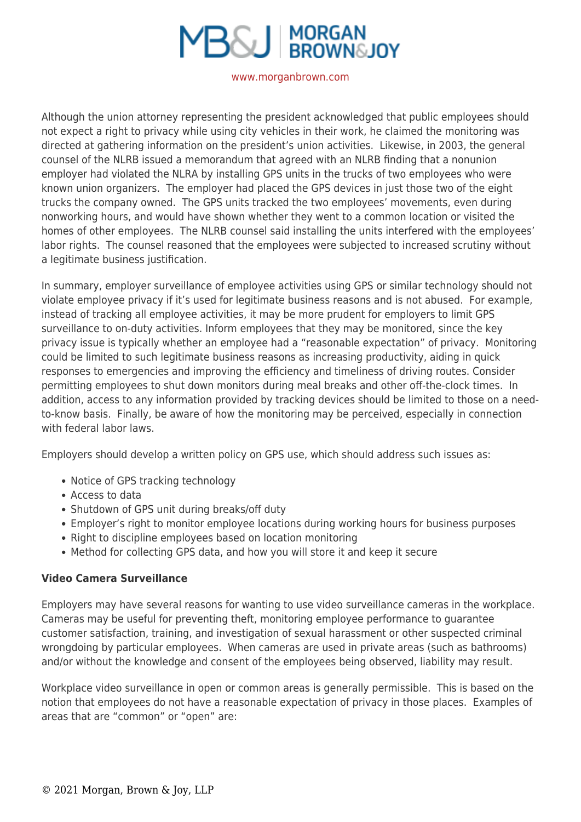

Although the union attorney representing the president acknowledged that public employees should not expect a right to privacy while using city vehicles in their work, he claimed the monitoring was directed at gathering information on the president's union activities. Likewise, in 2003, the general counsel of the NLRB issued a memorandum that agreed with an NLRB finding that a nonunion employer had violated the NLRA by installing GPS units in the trucks of two employees who were known union organizers. The employer had placed the GPS devices in just those two of the eight trucks the company owned. The GPS units tracked the two employees' movements, even during nonworking hours, and would have shown whether they went to a common location or visited the homes of other employees. The NLRB counsel said installing the units interfered with the employees' labor rights. The counsel reasoned that the employees were subjected to increased scrutiny without a legitimate business justification.

In summary, employer surveillance of employee activities using GPS or similar technology should not violate employee privacy if it's used for legitimate business reasons and is not abused. For example, instead of tracking all employee activities, it may be more prudent for employers to limit GPS surveillance to on-duty activities. Inform employees that they may be monitored, since the key privacy issue is typically whether an employee had a "reasonable expectation" of privacy. Monitoring could be limited to such legitimate business reasons as increasing productivity, aiding in quick responses to emergencies and improving the efficiency and timeliness of driving routes. Consider permitting employees to shut down monitors during meal breaks and other off-the-clock times. In addition, access to any information provided by tracking devices should be limited to those on a needto-know basis. Finally, be aware of how the monitoring may be perceived, especially in connection with federal labor laws

Employers should develop a written policy on GPS use, which should address such issues as:

- Notice of GPS tracking technology
- Access to data
- Shutdown of GPS unit during breaks/off duty
- Employer's right to monitor employee locations during working hours for business purposes
- Right to discipline employees based on location monitoring
- Method for collecting GPS data, and how you will store it and keep it secure

## **Video Camera Surveillance**

Employers may have several reasons for wanting to use video surveillance cameras in the workplace. Cameras may be useful for preventing theft, monitoring employee performance to guarantee customer satisfaction, training, and investigation of sexual harassment or other suspected criminal wrongdoing by particular employees. When cameras are used in private areas (such as bathrooms) and/or without the knowledge and consent of the employees being observed, liability may result.

Workplace video surveillance in open or common areas is generally permissible. This is based on the notion that employees do not have a reasonable expectation of privacy in those places. Examples of areas that are "common" or "open" are: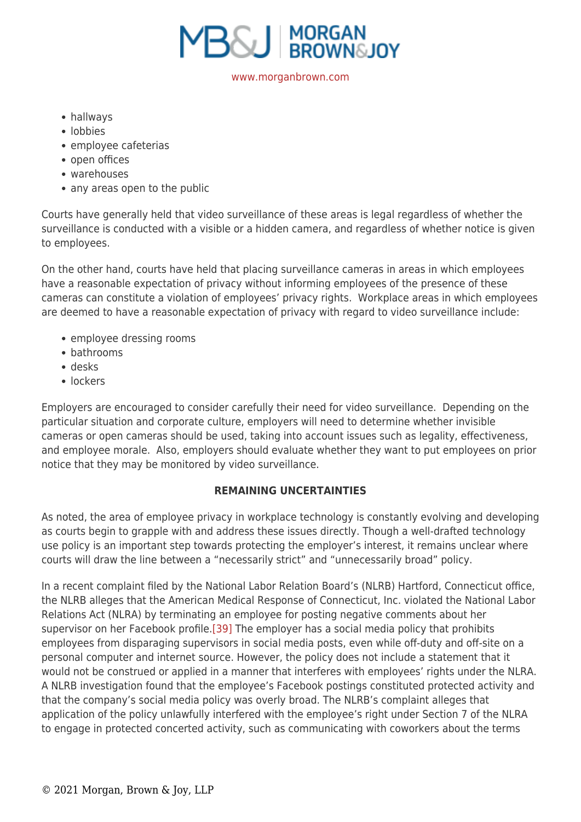

hallways

- lobbies
- employee cafeterias
- open offices
- warehouses
- any areas open to the public

Courts have generally held that video surveillance of these areas is legal regardless of whether the surveillance is conducted with a visible or a hidden camera, and regardless of whether notice is given to employees.

On the other hand, courts have held that placing surveillance cameras in areas in which employees have a reasonable expectation of privacy without informing employees of the presence of these cameras can constitute a violation of employees' privacy rights. Workplace areas in which employees are deemed to have a reasonable expectation of privacy with regard to video surveillance include:

- employee dressing rooms
- bathrooms
- desks
- lockers

Employers are encouraged to consider carefully their need for video surveillance. Depending on the particular situation and corporate culture, employers will need to determine whether invisible cameras or open cameras should be used, taking into account issues such as legality, effectiveness, and employee morale. Also, employers should evaluate whether they want to put employees on prior notice that they may be monitored by video surveillance.

# **REMAINING UNCERTAINTIES**

As noted, the area of employee privacy in workplace technology is constantly evolving and developing as courts begin to grapple with and address these issues directly. Though a well-drafted technology use policy is an important step towards protecting the employer's interest, it remains unclear where courts will draw the line between a "necessarily strict" and "unnecessarily broad" policy.

In a recent complaint filed by the National Labor Relation Board's (NLRB) Hartford, Connecticut office, the NLRB alleges that the American Medical Response of Connecticut, Inc. violated the National Labor Relations Act (NLRA) by terminating an employee for posting negative comments about her supervisor on her Facebook profile.[\[39\]](https://www.morganbrown.com/legal/legal_update.php?id=210#_edn39) The employer has a social media policy that prohibits employees from disparaging supervisors in social media posts, even while off-duty and off-site on a personal computer and internet source. However, the policy does not include a statement that it would not be construed or applied in a manner that interferes with employees' rights under the NLRA. A NLRB investigation found that the employee's Facebook postings constituted protected activity and that the company's social media policy was overly broad. The NLRB's complaint alleges that application of the policy unlawfully interfered with the employee's right under Section 7 of the NLRA to engage in protected concerted activity, such as communicating with coworkers about the terms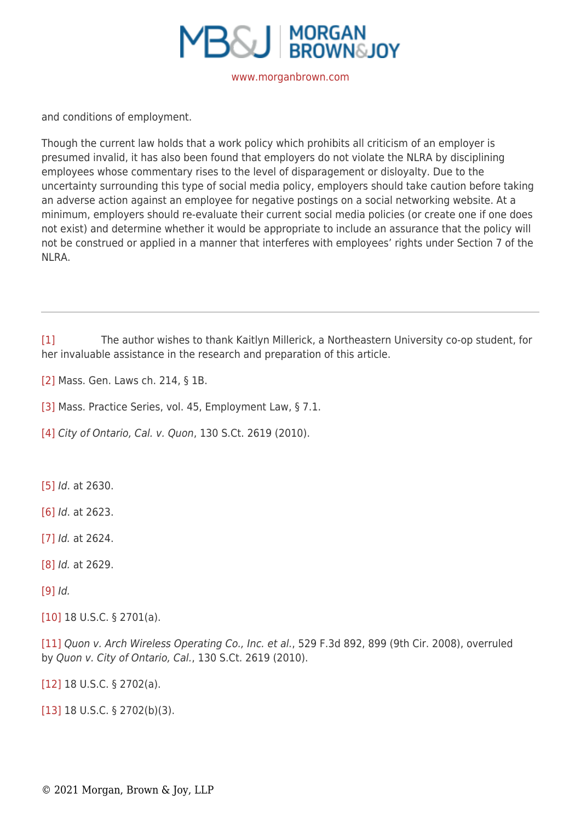

and conditions of employment.

Though the current law holds that a work policy which prohibits all criticism of an employer is presumed invalid, it has also been found that employers do not violate the NLRA by disciplining employees whose commentary rises to the level of disparagement or disloyalty. Due to the uncertainty surrounding this type of social media policy, employers should take caution before taking an adverse action against an employee for negative postings on a social networking website. At a minimum, employers should re-evaluate their current social media policies (or create one if one does not exist) and determine whether it would be appropriate to include an assurance that the policy will not be construed or applied in a manner that interferes with employees' rights under Section 7 of the NLRA.

[\[1\]](https://www.morganbrown.com/legal/legal_update.php?id=210#_ednref1) The author wishes to thank Kaitlyn Millerick, a Northeastern University co-op student, for her invaluable assistance in the research and preparation of this article.

[\[2\]](https://www.morganbrown.com/legal/legal_update.php?id=210#_ednref2) Mass. Gen. Laws ch. 214, § 1B.

[\[3\]](https://www.morganbrown.com/legal/legal_update.php?id=210#_ednref3) Mass. Practice Series, vol. 45, Employment Law, § 7.1.

[\[4\]](https://www.morganbrown.com/legal/legal_update.php?id=210#_ednref4) City of Ontario, Cal. v. Quon, 130 S.Ct. 2619 (2010).

[\[5\]](https://www.morganbrown.com/legal/legal_update.php?id=210#_ednref5) *Id.* at 2630.

[\[6\]](https://www.morganbrown.com/legal/legal_update.php?id=210#_ednref6) Id. at 2623.

[\[7\]](https://www.morganbrown.com/legal/legal_update.php?id=210#_ednref7) *Id.* at 2624.

[\[8\]](https://www.morganbrown.com/legal/legal_update.php?id=210#_ednref8) *Id.* at 2629.

[\[9\]](https://www.morganbrown.com/legal/legal_update.php?id=210#_ednref9) Id.

[\[10\]](https://www.morganbrown.com/legal/legal_update.php?id=210#_ednref10) 18 U.S.C. § 2701(a).

[\[11\]](https://www.morganbrown.com/legal/legal_update.php?id=210#_ednref11) Quon v. Arch Wireless Operating Co., Inc. et al., 529 F.3d 892, 899 (9th Cir. 2008), overruled by Quon v. City of Ontario, Cal., 130 S.Ct. 2619 (2010).

[\[12\]](https://www.morganbrown.com/legal/legal_update.php?id=210#_ednref12) 18 U.S.C. § 2702(a).

[\[13\]](https://www.morganbrown.com/legal/legal_update.php?id=210#_ednref13) 18 U.S.C. § 2702(b)(3).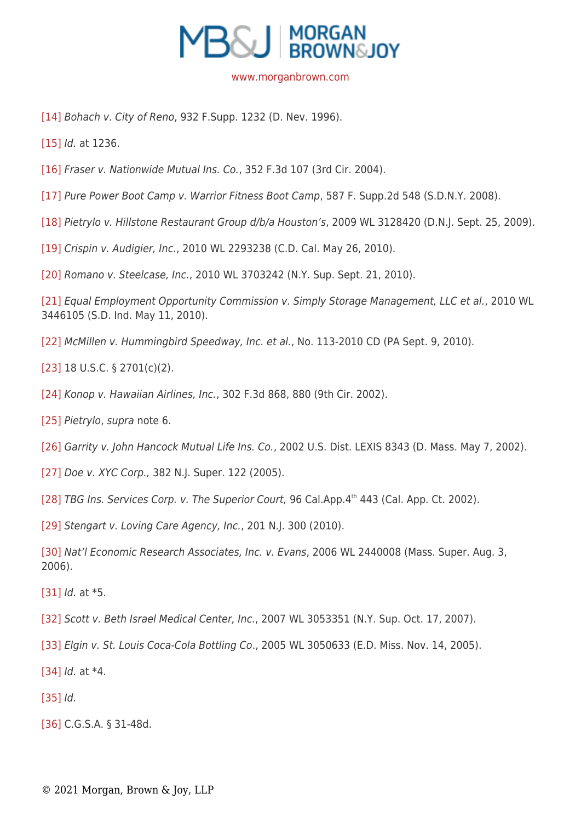

[\[14\]](https://www.morganbrown.com/legal/legal_update.php?id=210#_ednref14) Bohach v. City of Reno, 932 F.Supp. 1232 (D. Nev. 1996).

[\[15\]](https://www.morganbrown.com/legal/legal_update.php?id=210#_ednref15) *Id.* at 1236.

- [\[16\]](https://www.morganbrown.com/legal/legal_update.php?id=210#_ednref16) Fraser v. Nationwide Mutual Ins. Co., 352 F.3d 107 (3rd Cir. 2004).
- [\[17\]](https://www.morganbrown.com/legal/legal_update.php?id=210#_ednref17) Pure Power Boot Camp v. Warrior Fitness Boot Camp, 587 F. Supp.2d 548 (S.D.N.Y. 2008).

[\[18\]](https://www.morganbrown.com/legal/legal_update.php?id=210#_ednref18) Pietrylo v. Hillstone Restaurant Group d/b/a Houston's, 2009 WL 3128420 (D.N.J. Sept. 25, 2009).

[\[19\]](https://www.morganbrown.com/legal/legal_update.php?id=210#_ednref19) Crispin v. Audigier, Inc., 2010 WL 2293238 (C.D. Cal. May 26, 2010).

[\[20\]](https://www.morganbrown.com/legal/legal_update.php?id=210#_ednref20) Romano v. Steelcase, Inc., 2010 WL 3703242 (N.Y. Sup. Sept. 21, 2010).

[\[21\]](https://www.morganbrown.com/legal/legal_update.php?id=210#_ednref21) Equal Employment Opportunity Commission v. Simply Storage Management, LLC et al., 2010 WL 3446105 (S.D. Ind. May 11, 2010).

[\[22\]](https://www.morganbrown.com/legal/legal_update.php?id=210#_ednref22) McMillen v. Hummingbird Speedway, Inc. et al., No. 113-2010 CD (PA Sept. 9, 2010).

[\[23\]](https://www.morganbrown.com/legal/legal_update.php?id=210#_ednref23) 18 U.S.C. § 2701(c)(2).

[\[24\]](https://www.morganbrown.com/legal/legal_update.php?id=210#_ednref24) Konop v. Hawaiian Airlines, Inc., 302 F.3d 868, 880 (9th Cir. 2002).

[\[25\]](https://www.morganbrown.com/legal/legal_update.php?id=210#_ednref25) Pietrylo, supra note 6.

[\[26\]](https://www.morganbrown.com/legal/legal_update.php?id=210#_ednref26) Garrity v. John Hancock Mutual Life Ins. Co., 2002 U.S. Dist. LEXIS 8343 (D. Mass. May 7, 2002).

[\[27\]](https://www.morganbrown.com/legal/legal_update.php?id=210#_ednref27) Doe v. XYC Corp., 382 N.J. Super. 122 (2005).

[\[28\]](https://www.morganbrown.com/legal/legal_update.php?id=210#_ednref28) TBG Ins. Services Corp. v. The Superior Court, 96 Cal.App.4th 443 (Cal. App. Ct. 2002).

[\[29\]](https://www.morganbrown.com/legal/legal_update.php?id=210#_ednref29) Stengart v. Loving Care Agency, Inc., 201 N.J. 300 (2010).

[\[30\]](https://www.morganbrown.com/legal/legal_update.php?id=210#_ednref30) Nat'l Economic Research Associates, Inc. v. Evans, 2006 WL 2440008 (Mass. Super. Aug. 3, 2006).

[\[31\]](https://www.morganbrown.com/legal/legal_update.php?id=210#_ednref31) *Id.* at \*5.

[\[32\]](https://www.morganbrown.com/legal/legal_update.php?id=210#_ednref32) Scott v. Beth Israel Medical Center, Inc., 2007 WL 3053351 (N.Y. Sup. Oct. 17, 2007).

[\[33\]](https://www.morganbrown.com/legal/legal_update.php?id=210#_ednref33) Elgin v. St. Louis Coca-Cola Bottling Co., 2005 WL 3050633 (E.D. Miss. Nov. 14, 2005).

 $[34]$  *Id.* at  $*4$ .

[\[35\]](https://www.morganbrown.com/legal/legal_update.php?id=210#_ednref35) *Id.* 

[\[36\]](https://www.morganbrown.com/legal/legal_update.php?id=210#_ednref36) C.G.S.A. § 31-48d.